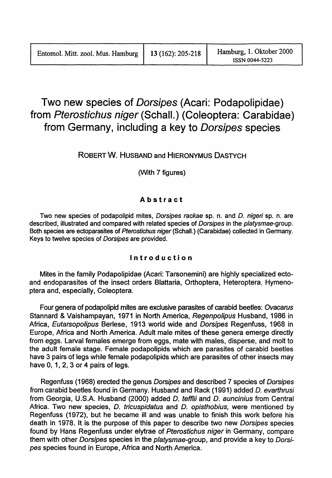# Two new species of Dorsipes (Acari: Podapolipidae) from Pterostichus niger (Schall.) (Coleoptera: Carabidae) from Germany, including a key to Dorsipes species

# ROBERT W. HUSBAND and HIERONYMUS DASTYCH

(With 7 figures)

## Abstract

Two new species of podapolipid mites, Dorsipes rackae sp. n. and D. nigeri sp. n. are described, illustrated and compared with related species of Dorsipes in the platysmae-group. Both species are ectoparasites of Pterostichus niger (Schall.) (Carabidae) collected in Germany. Keys to twelve species of Dorsipes are provided.

### Introduction

Mites in the family Podapolipidae (Acari: Tarsonemini) are highly specialized ectoand endoparasites of the insect orders Blattaria, Orthoptera, Heteroptera, Hymenoptera and, especially. Coleoptera.

Four genera of podapolipid mites are exclusive parasites of carabid beetles: Ovacarus Stannard & Vaishampayan, 1971 in North America, Regenpolipus Husband, 1986 in Africa, Eutarsopolipus Berlese. 1913 world wide and Dorsipes Regenfuss. 1968 in Europe. Africa and North America. Adult male mites of these genera emerge directly from eggs. Larval females emerge from eggs, mate with males. disperse. and molt to the adult female stage. Female podapolipids which are parasites of carabid beetles have 3 pairs of legs while female podapolipids which are parasites of other insects may have 0, 1, 2, 3 or 4 pairs of legs.

Regenfuss (1968) erected the genus Dorsipes and described 7 species of Dorsipes from carabid beetles found in Germany. Husband and Rack (1991) added D. evarlhrusi from Georgia, U.S.A. Husband (2000) added D. tefflii and D. auncinius from Central Africa. Two new species, D. tricuspidatus and D. opisthobius, were mentioned by Regenfuss (1972). but he became ill and was unable to finish this work before his death in 1978. It is the purpose of this paper to describe two new Dorsipes species found by Hans Regenfuss under elytrae of Pterostichus niger in Germany, compare them with other Dorsipes species in the platysmae-group, and provide a key to Dorsipes species found in Europe. Africa and North America.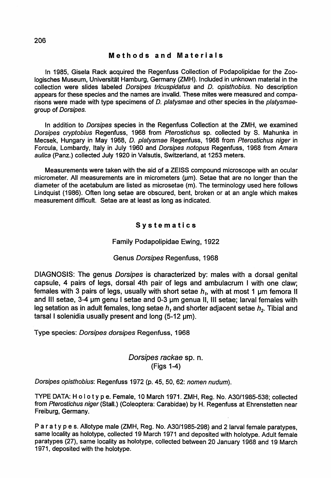### Methods and Materials

In 1985, Gisela Rack acquired the Regenfuss Collection of Podapolipidae for the Zoologisches Museum, Universitat Hamburg, Germany (ZMH). Included in unknown material in the collection were slides labeled Dorsipes tricuspidatus and D. opisthobius. No description appears for these species and the names are invalid. These mites were measured and comparisons were made with type specimens of *D. platysmae* and other species in the *platysmae*group of Dorsipes.

In addition to Dorsipes species in the Regenfuss Collection at the ZMH, we examined Dorsipes cryptobius Regenfuss, 1968 from Pterostichus sp. collected by S. Mahunka in Mecsek, Hungary in May 1968, D. platysmae Regenfuss, 1968 from Pterostichus niger in Forcula, Lombardy, Italy in July 1960 and Dorsipes notopus Regenfuss, 1968 from Amara aulica (Panz.) collected July 1920 in Valsutis, Switzerland, at 1253 meters.

Measurements were taken with the aid of a ZEISS compound microscope with an ocular micrometer. All measurements are in micrometers (um). Setae that are no longer than the diameter of the acetabulum are listed as microsetae (m). The terminology used here follows Lindquist (1986). Often long setae are obscured, bent, broken or at an angle which makes measurement difficult. Setae are at least as long as indicated.

### Systematics

### Family Podapolipidae Ewing, 1922

#### Genus Dorsipes Regenfuss, 1968

DIAGNOSIS: The genus Dorsipes is characterized by: males with a dorsal genital capsule, 4 pairs of legs, dorsal 4th pair of legs and ambulacrum I with one claw; females with 3 pairs of legs, usually with short setae  $h_i$ , with at most 1  $\mu$ m femora II and III setae, 3-4 um genu I setae and 0-3 um genua II, III setae; larval females with leg setation as in adult females, long setae *h*<sub>1</sub> and shorter adjacent setae *h*<sub>2</sub>. Tibial and tarsal I solenidia usually present and long  $(5-12 ~\mu m)$ .

Type species: Dorsipes dorsipes Regenfuss, 1968

### Dorsipes rackae sp. n. (Figs 1-4)

Dorsipes opisthobius: Regenfuss 1972 (p. 45, 50, 62: nomen nudum).

TYPE DATA: Ho lot Ype. Female, 10 March 1971. ZMH, Reg. No. A30/1985-538; collected from Pterostichus niger(Stall.) (Coleoptera: Carabidae) by H. Regenfuss at Ehrenstetten near Freiburg, Germany.

Par a t y pes. Allotype male (ZMH, Reg. No. A30/1985-29B) and 2 larval female paratypes, same locality as holotype, collected 19 March 1971 and deposited with holotype. Adult female paratypes (27), same locality as holotype, collected between 20 January 1968 and 19 March 1971, deposited with the holotype.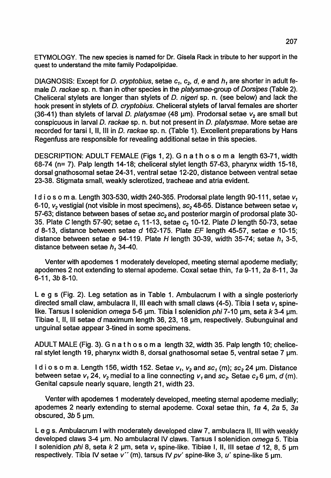ETYMOLOGY. The new species is named for Dr. Gisela Rack in tribute to her support in the quest to understand the mite family Podapolipidae.

DIAGNOSIS: Except for *D. cryptobius*, setae  $c_{\textit{\textbf{z}}}$ ,  $c_{\textit{\textbf{z}}}$ ,  $d$ ,  $e$  and  $h_{\textit{\textbf{t}}}$  are shorter in adult female D. rackae sp. n. than in other species in the platysmae-group of Dorsipes (Table 2) Cheliceral stylets are longer than stylets of D. nigeri sp. n. (see below) and lack the hook present in stylets of D. cryptobius. Cheliceral stylets of larval females are shorter (36-41) than stylets of larval D. platysmae (48  $\mu$ m). Prodorsal setae  $v_2$  are small but conspicuous in larval D. rackae sp. n. but not present in D. platysmae. More setae are recorded for tarsi I, 11, III in D. rackae sp. n. (Table 1). Excellent preparations by Hans Regenfuss are responsible for revealing additional setae in this species.

DESCRIPTION: ADULT FEMALE (Figs 1, 2). G n a t h 0 s 0 m a length 63-71, width 68-74 (n= 7). Palp length 14-18; cheliceral stylet length 57-63, pharynx width 15-18, dorsal gnathosomal setae 24-31, ventral setae 12-20, distance between ventral setae 23-38. Stigmata small, weakly sclerotized, tracheae and atria evident.

Id i <sup>0</sup> s <sup>0</sup> m a. Length 303-530, width 240-365. Prodorsal plate length 90-111, setae *v,* 6-10,  $v_2$  vestigial (not visible in most specimens), sc<sub>2</sub> 48-65. Distance between setae  $v_1$ 57-63; distance between bases of setae sc*<sup>2</sup>* and posterior margin of prodorsal plate 30- 35. Plate C length 57-90; setae *c*<sup>1</sup> 11-13, setae c2 10-12. Plate *D* length 50-73, setae  $d$  8-13, distance between setae  $d$  162-175. Plate EF length 45-57, setae e 10-15; distance between setae e 94-119. Plate H length 30-39, width 35-74; setae  $h_1$  3-5, distance between setae  $h_1$  34-40.

Venter with apodernes 1 moderately developed, meeting sternal apodeme medially; apodemes 2 not extending to sternal apodeme. Coxal setae thin, 1a 9-11, 2a 8-11, 3a 6-11, 3b 8-10.

Leg s (Fig. 2). Leg setation as in Table 1. Ambulacrum I with a single posteriorly directed small claw, arnbulacra 11, III each with small claws (4-5). Tibia I seta *v,* spinelike. Tarsus I solenidion omega 5-6  $\mu$ m. Tibia I solenidion phi 7-10  $\mu$ m, seta k 3-4  $\mu$ m. Tibiae I, II, III setae *d* maximum length 36, 23, 18 um, respectively. Subunguinal and unguinal setae appear 3-tined in some specimens.

ADULT MALE (Fig. 3). G n a t h 0 s 0 m a length 32, width 35. Palp length 10; cheliceral stylet length 19, pharynx width 8, dorsal gnathosomal setae 5, ventral setae 7  $\mu$ m.

l d i ο s ο m a. Length 156, width 152. Setae *ν<sub>1</sub>, ν<sub>2</sub>* and *sc<sub>1</sub>* (m); *sc<sub>2</sub>* 24 μm. Distance between setae *v*, 24, *v<sub>2</sub>* medial to a line connecting *v*<sub>1</sub> and *sc*<sub>2</sub>. Setae *c*<sub>2</sub> 6 µm, *d* (m). Genital capsule nearly square, length 21, width 23.

Venter with apodemes 1 moderately developed, meeting sternal apodeme medially; apodemes 2 nearly extending to sternal apodeme. Coxal setae thin, 1a 4, 2a 5, 3a obscured,  $3b$  5  $\mu$ m.

Leg s. Ambulacrum I with moderately developed claw 7, ambulacra 11, III with weakly developed claws 3-4 um. No ambulacral IV claws. Tarsus I solenidion omega 5. Tibia I solenidion phi 8, seta k 2  $\mu$ m, seta v, spine-like. Tibiae I, II, III setae d 12, 8, 5  $\mu$ m respectively. Tibia IV setae v'' (m), tarsus IV pv' spine-like 3, u' spine-like 5 um.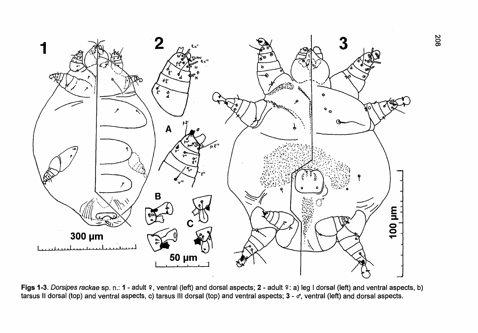

Figs 1-3. Dorsipes rackae sp. n.: 1 - adult º, ventral (left) and dorsal aspects; 2 - adult º: a) leg I dorsal (left) and ventral aspects, b) tarsus II dorsal (top) and ventral aspects, c) tarsus III dorsal (top) and ventral aspects; 3 - o\*, ventral (left) and dorsal aspects.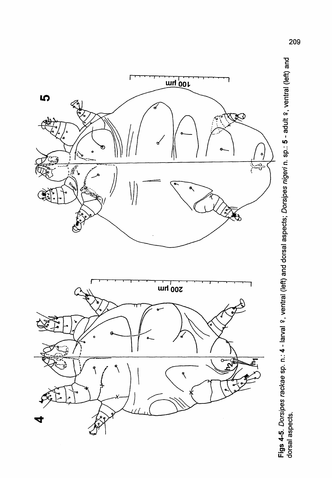

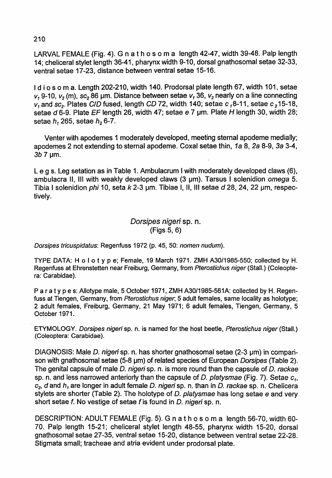# 210

LARVAL FEMALE (Fig. 4). G n a t h 0 s 0 m a length 42-47, width 39-48. Palp length 14; cheliceral stylet length 36-41, pharynx width 9-10, dorsal gnathosomal setae 32-33, ventral setae 17-23, distance between ventral setae 15-16.

I d i o s o m a. Length 202-210, width 140. Prodorsal plate length 67, width 101, setae  $v_1$  9-10,  $v_2$  (m), sc<sub>2</sub> 86 µm. Distance between setae  $v_1$  36,  $v_2$  nearly on a line connecting  $v_1$  and sc<sub>2</sub>. Plates CID fused, length CD 72, width 140; setae  $c_1$ 8-11, setae  $c_2$ 15-18, setae d 6-9. Plate EF length 26, width 47; setae e 7 um. Plate H length 30, width 28; setae  $h<sub>1</sub>$  265, setae  $h<sub>2</sub>$  6-7.

Venter with apodemes 1 moderately developed, meeting sternal apodeme medially; apodemes 2 not extending to sternal apodeme. Coxal setae thin, 1a 8, 2a 8-9, 3a 3-4, 3*b* 7 um.

Leg s. Leg setation as in Table 1. Ambulacrum I with moderately developed claws (6), ambulacra II, III with weakly developed claws  $(3 \mu m)$ . Tarsus I solenidion omega 5. Tibia I solenidion *phi* 10, seta  $k$  2-3  $\mu$ m. Tibiae I, II, III setae d 28, 24, 22  $\mu$ m, respectively.

# Dorsipes nigeri sp. n. (Figs 5, 6)

Dorsipes tricuspidatus: Regenfuss 1972 (p. 45, 50: nomen nudum).

TYPE DATA: <sup>H</sup> <sup>0</sup> lot Yp e; Female. <sup>19</sup> March 1971. ZMH A30/1985-550; collected by H. Regenfuss at Ehrenstetten near Freiburg, Germany, from Pterostichus niger (Stall.) (Coleoptera: Carabidae).

Par a t y pes: Allotype male, 5 October 1971, ZMH A30/1985-561A: collected by H. Regenfuss at Tiengen, Germany, from Pterostichus niger, 5 adult females, same locality as holotype; 2 adult females, Freiburg, Germany. 21 May 1971; 6 adult females. Tiengen, Germany, 5 October 1971.

ETYMOLOGY. Dorsipes nigeri sp. n. is named for the host beetle. Pterostichus niger (Stall.) (Coleoptera: Carabidae).

DIAGNOSIS: Male D. nigeri sp. n. has shorter gnathosomal setae (2-3 um) in comparison with gnathosomal setae (5-8 um) of related species of European Dorsipes (Table 2). The genital capsule of male D. nigeri sp. n. is more round than the capsule of D. rackae sp. n. and less narrowed anteriorly than the capsule of D. platysmae (Fig. 7). Setae  $c_1$ ,  $c_2$ , d and  $h_1$  are longer in adult female D. nigeri sp. n. than in D. rackae sp. n. Chelicera stylets are shorter (Table 2). The holotype of D. platysmae has long setae e and very short setae f. No vestige of setae f is found in D. nigeri sp. n.

DESCRIPTION: ADULT FEMALE (Fig. 5). G n a t h 0 s 0 m a length 56-70, width 60- 70. Palp length 15-21; cheliceral stylet length 48-55, pharynx width 15-20, dorsal gnathosomal setae 27-35, ventral setae 15-20. distance between ventral setae 22-28. Stigmata small; tracheae and atria evident under prodorsal plate.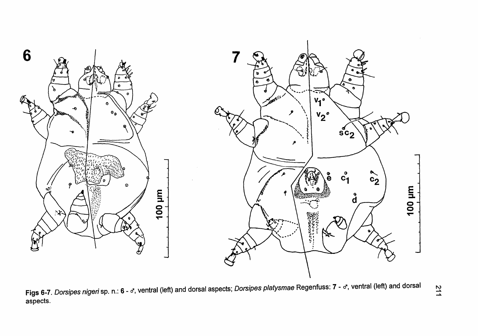

Figs 6-7. Dorsipes nigeri sp. n.: 6 - d, ventral (left) and dorsal aspects; Dorsipes platysmae Regenfuss: 7 - d, ventral (left) and dorsal aspects.

**211**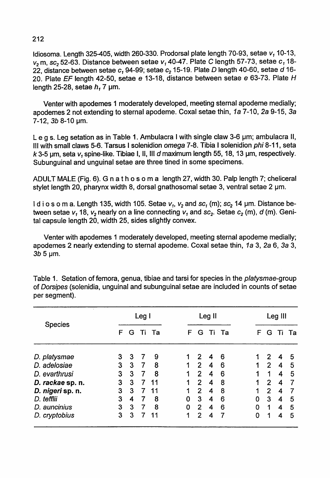Idiosoma. Length 325-405, width 260-330. Prodorsal plate length 70-93, setae v, 10-13,  $v_2$  m, sc<sub>2</sub> 52-63. Distance between setae  $v_1$  40-47. Plate C length 57-73, setae  $c_1$  18-22, distance between setae c<sub>1</sub> 94-99; setae c<sub>2</sub> 15-19. Plate *D* length 40-60, setae d 16-20. Plate EF length 42-50, setae e 13-18, distance between setae e 63-73. Plate H length 25-28, setae  $h<sub>1</sub>$  7 µm.

Venter with apodemes 1 moderately developed, meeting sternal apodeme medially; apodemes 2 not extending to sternal apodeme. Coxal setae thin, 1a 7-10, 2a 9-15, 3a  $7-12$ ,  $3b$  8-10  $\mu$ m.

Leg s. Leg setation as in Table 1. Ambulacra I with single claw 3-6  $\mu$ m; ambulacra II, III with small claws 5-6. Tarsus I solenidion omega 7-8. Tibia I solenidion phi 8-11, seta *k* 3-5 IJm, seta v*<sup>1</sup>* spine-like. Tibiae I, 11, III *d* maximum length 55, 18, 13 IJm, respectively. Subunguinal and unguinal setae are three tined in some specimens.

ADULT MALE (Fig. 6). G na t h <sup>0</sup> s <sup>0</sup> m a length 27, width 30. Palp length 7; cheliceral stylet length 20, pharynx width 8, dorsal gnathosomal setae 3, ventral setae 2  $\mu$ m.

I d i o s o m a. Length 135, width 105. Setae  $v_1$ ,  $v_2$  and sc<sub>1</sub> (m); sc<sub>2</sub> 14  $\mu$ m. Distance between setae  $v_1$  18,  $v_2$  nearly on a line connecting  $v_1$  and  $sc_2$ . Setae  $c_2$  (m), d (m). Genital capsule length 20, width 25, sides slightly convex.

Venter with apodemes 1 moderately developed, meeting sternal apodeme medially; apodemes 2 nearly extending to sternal apodeme. Coxal setae thin, 1a 3, 2a 6, 3a 3,  $3b$  5  $\mu$ m.

| $\sim$           | Leg I |   |   |       | Leg II |                |    |      |  | Leg III |                |    |    |
|------------------|-------|---|---|-------|--------|----------------|----|------|--|---------|----------------|----|----|
| <b>Species</b>   | F     | G |   | Ti Ta | F      | G              | Ti | - Та |  | F       | G              | Tī | Та |
| D. platysmae     | 3     | 3 | 7 | 9     |        | 2              | 4  | 6    |  |         | 2              | 4  | 5  |
| D. adelosiae     | 3     | 3 | 7 | 8     | 1      | 2              | 4  | 6    |  |         | $\overline{2}$ | 4  | 5  |
| D. evarthrusi    | 3     | 3 | 7 | 8     | 1      | $\overline{2}$ | 4  | 6    |  |         | 1              | 4  | 5  |
| D. rackae sp. n. | 3     | 3 | 7 | 11    | 1      | 2              | 4  | 8    |  | 1       | 2              | 4  |    |
| D. nigeri sp. n. | 3     | 3 | 7 | 11    | 1      | 2              | 4  | 8    |  |         | 2              | 4  |    |
| D. tefflii       | 3     | 4 | 7 | 8     | 0      | 3              | 4  | 6    |  | 0       | 3              | 4  | 5  |
| D. auncinius     | 3     | 3 | 7 | 8     | 0      | 2              | 4  | 6    |  | 0       | 1              | 4  | 5  |
| D. cryptobius    | 3     | 3 | 7 | 11    | 1      | 2              | 4  | 7    |  | 0       | 1              | 4  | 5  |

Table 1. Setation of femora, genua, tibiae and tarsi for species in the *platysmae-group* of Dorsipes (solenidia, unguinal and subunguinal setae are included in counts of setae per segment).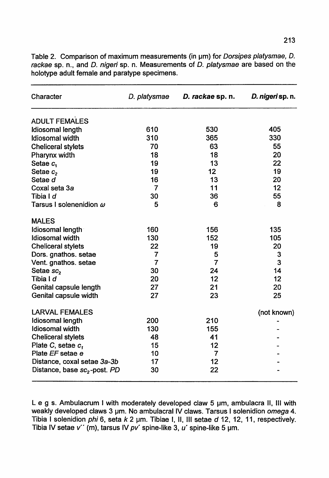| Character                                | D. platysmae | D. rackae sp. n. | D. nigeri sp. n. |
|------------------------------------------|--------------|------------------|------------------|
| <b>ADULT FEMALES</b>                     |              |                  |                  |
| Idiosomal length                         | 610          | 530              | 405              |
| Idiosomal width                          | 310          | 365              | 330              |
| <b>Cheliceral stylets</b>                | 70           | 63               | 55               |
| Pharynx width                            | 18           | 18               | 20               |
| Setae c.                                 | 19           | 13               | 22               |
| Setae c <sub>2</sub>                     | 19           | 12               | 19               |
| Setae d                                  | 16           | 13               | 20               |
| Coxal seta 3a                            | 7            | 11               | 12               |
| Tibia I <i>d</i>                         | 30           | 36               | 55               |
| Tarsus I solenenidion $\omega$           | 5            | 6                | 8                |
| <b>MALES</b>                             |              |                  |                  |
| Idiosomal length                         | 160          | 156              | 135              |
| Idiosomal width                          | 130          | 152              | 105              |
| <b>Cheliceral stylets</b>                | 22           | 19               | 20               |
| Dors. gnathos. setae                     | 7            | 5                | 3                |
| Vent. gnathos. setae                     | 7            | $\overline{7}$   | 3                |
| Setae sc <sub>2</sub>                    | 30           | 24               | 14               |
| Tibia I d                                | 20           | 12               | 12               |
| Genital capsule length                   | 27           | 21               | 20               |
| Genital capsule width                    | 27           | 23               | 25               |
| <b>LARVAL FEMALES</b>                    |              |                  | (not known)      |
| Idiosomal length                         | 200          | 210              |                  |
| <b>Idiosomal</b> width                   | 130          | 155              |                  |
| <b>Cheliceral stylets</b>                | 48           | 41               |                  |
| Plate C, setae c,                        | 15           | 12               |                  |
| Plate EF setae e                         | 10           | $\overline{7}$   |                  |
| Distance, coxal setae 3a-3b              | 17           | 12               |                  |
| Distance, base sc <sub>2</sub> -post. PD | 30           | 22               |                  |

Table 2. Comparison of maximum measurements (in um) for *Dorsipes platysmae, D.* rackae sp. n., and D. nigeri sp. n. Measurements of D. platysmae are based on the holotype adult female and paratype specimens.

L e g s. Ambulacrum I with moderately developed claw 5 um, ambulacra II, III with weakly developed claws 3 um. No ambulacral IV claws. Tarsus I solenidion omega 4. Tibia I solenidion phi 6, seta k 2 um. Tibiae I, II, III setae d 12, 12, 11, respectively. Tibia IV setae v'' (m), tarsus IV pv' spine-like 3, u' spine-like 5 um.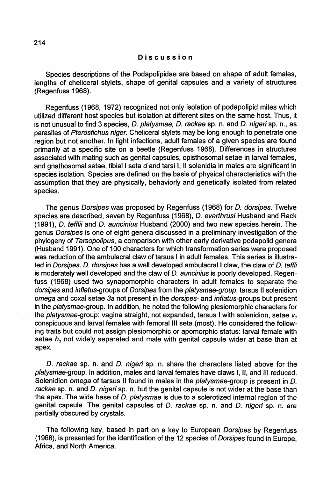#### Discussion

Species descriptions of the Podapolipidae are based on shape of adult females, lengths of cheliceral stylets, shape of genital capsules and a variety of structures (Regenfuss 1968).

Regenfuss (1968, 1972) recognized not only isolation of podapolipid mites which utilized different host species but isolation at different sites on the same host. Thus, it is not unusual to find 3 species, D. platysmae, D. rackae sp. n. and D. nigeri sp. n., as parasites of Pterostichus niger. Cheliceral stylets may be long enough to penetrate one region but not another. In light infections, adult females of a given species are found primarily at a specific site on a beetle (Regenfuss 1968). Differences in structures associated with mating such as genital capsules, opisthosomal setae in larval females, and gnathosomal setae, tibial I seta d and tarsi I, II solenidia in males are significant in species isolation. Species are defined on the basis of physical characteristics with the assumption that they are physically, behaviorly and genetically isolated from related species.

The genus Dorsipes was proposed by Regenfuss (1968) for D. dorsipes. Twelve species are described, seven by Regenfuss (1968), *D. evarthrusi* Husband and Rack (1991), D. tefflii and D. auncinius Husband (2000) and two new species herein. The genus Dorsipes is one of eight genera discussed in a preliminary investigation of the phylogeny of Tarsopolipus, a comparison with other early derivative podapolid genera (Husband 1991). One of 100 characters for which transformation series were proposed was reduction of the ambulacral claw of tarsus I in adult females. This series is illustrated in Dorsipes. D. dorsipes has a well developed ambulacral I claw, the claw of D. teffli is moderately well developed and the claw of  $D$ . auncinius is poorly developed. Regenfuss (1968) used two synapomorphic characters in adult females to separate the dorsipes and inflatus-groups of Dorsipes from the platysmae-group: tarsus II solenidion omega and coxal setae 3a not present in the dorsipes- and inflatus-groups but present in the platysmae-group. In addition, he noted the following plesiomorphic characters for the platysmae-group: vagina straight, not expanded, tarsus I with solenidion, setae v*<sup>1</sup>* conspicuous and larval females with femoral III seta (most). He considered the following traits but could not assign plesiomorphic or apomorphic status: larval female with setae  $h_1$  not widely separated and male with genital capsule wider at base than at apex.

D. rackae sp. n. and D. nigeri sp. n. share the characters listed above for the platysmae-group. In addition, males and larval females have claws I, 11, and III reduced. Solenidion omega of tarsus II found in males in the *platysmae-*group is present in D. rackae sp. n. and D. nigeri sp. n. but the genital capsule is not wider at the base than the apex. The wide base of D. platysmae is due to a sclerotized internal region of the genital capsule. The genital capsules of D. rackae sp. n. and D. nigeri sp. n. are partially obscured by crystals.

The following key, based in part on a key to European Dorsipes by Regenfuss (1968), is presented for the identification of the 12 species of Dorsipes found in Europe, Africa, and North America.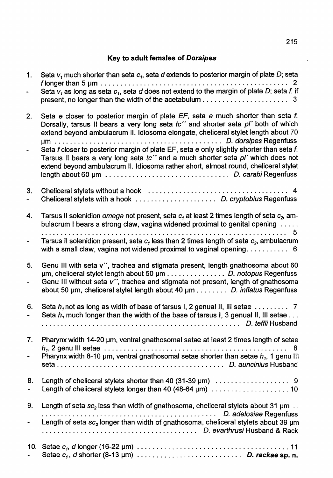# Key to adult females of Dorsipes

| 1. | Seta $vt$ much shorter than seta $ct$ , seta d extends to posterior margin of plate D; seta<br>Seta $v_1$ as long as seta $c_1$ , seta d does not extend to the margin of plate D; seta f, if                                                                                                                                                                                                                                                                                                                                   |
|----|---------------------------------------------------------------------------------------------------------------------------------------------------------------------------------------------------------------------------------------------------------------------------------------------------------------------------------------------------------------------------------------------------------------------------------------------------------------------------------------------------------------------------------|
| 2. | Seta e closer to posterior margin of plate EF, seta e much shorter than seta f.<br>Dorsally, tarsus II bears a very long seta tc" and shorter seta pl' both of which<br>extend beyond ambulacrum II. Idiosoma elongate, cheliceral stylet length about 70<br>Seta f closer to posterior margin of plate EF, seta e only slightly shorter than seta f.<br>Tarsus II bears a very long seta to" and a much shorter seta pl' which does not<br>extend beyond ambulacrum II. Idiosoma rather short, almost round, cheliceral stylet |
| 3. |                                                                                                                                                                                                                                                                                                                                                                                                                                                                                                                                 |
| 4. | Tarsus II solenidion omega not present, seta $c_1$ at least 2 times length of seta $c_2$ , am-<br>bulacrum I bears a strong claw, vagina widened proximal to genital opening                                                                                                                                                                                                                                                                                                                                                    |
|    | Tarsus II solenidion present, seta $c1$ less than 2 times length of seta $c2$ , ambulacrum<br>with a small claw, vagina not widened proximal to vaginal opening 6                                                                                                                                                                                                                                                                                                                                                               |
| 5. | Genu III with seta v", trachea and stigmata present, length gnathosoma about 60<br>um, cheliceral stylet length about 50 um D. notopus Regenfuss<br>Genu III without seta v", trachea and stigmata not present, length of gnathosoma<br>about 50 um, cheliceral stylet length about 40 um D. inflatus Regenfuss                                                                                                                                                                                                                 |
| 6. | Seta $h_i$ much longer than the width of the base of tarsus I, 3 genual II, III setae                                                                                                                                                                                                                                                                                                                                                                                                                                           |
| 7. | Pharynx width 14-20 um, ventral gnathosomal setae at least 2 times length of setae<br>-8<br>Pharynx width 8-10 $\mu$ m, ventral gnathosomal setae shorter than setae $h_1$ , 1 genu III                                                                                                                                                                                                                                                                                                                                         |
| 8. |                                                                                                                                                                                                                                                                                                                                                                                                                                                                                                                                 |
| 9. | Length of seta $sc_2$ less than width of gnathosoma, cheliceral stylets about 31 $\mu$ m.<br>Length of seta $sc2$ longer than width of gnathosoma, cheliceral stylets about 39 $\mu$ m                                                                                                                                                                                                                                                                                                                                          |
|    | Setae $c_1$ , d shorter (8-13 µm) $\ldots \ldots \ldots \ldots \ldots \ldots \ldots$ D. rackae sp. n.                                                                                                                                                                                                                                                                                                                                                                                                                           |

 $\sim$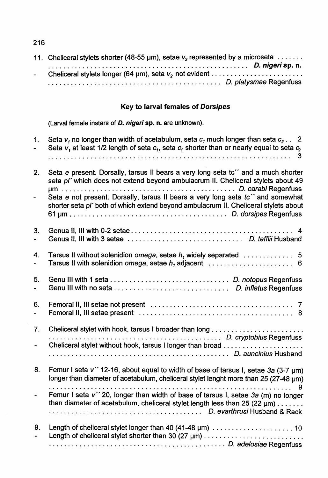| 11. Cheliceral stylets shorter (48-55 $\mu$ m), setae $v_2$ represented by a microseta $\dots \dots$ |
|------------------------------------------------------------------------------------------------------|
|                                                                                                      |
|                                                                                                      |
|                                                                                                      |

# Key to larval females of Dorsipes

(Larval female instars of D. nigeri sp. n. are unknown).

| 1.                   | Seta $v_1$ no longer than width of acetabulum, seta $c_1$ much longer than seta $c_2$ 2<br>Seta $v_1$ at least 1/2 length of seta $c_1$ , seta $c_2$ shorter than or nearly equal to seta $c_2$<br>3                                                                                                                                             |
|----------------------|--------------------------------------------------------------------------------------------------------------------------------------------------------------------------------------------------------------------------------------------------------------------------------------------------------------------------------------------------|
| 2.                   | Seta e present. Dorsally, tarsus II bears a very long seta tc" and a much shorter<br>seta pl' which does not extend beyond ambulacrum II. Cheliceral stylets about 49<br>Seta e not present. Dorsally, tarsus II bears a very long seta tc" and somewhat<br>shorter seta pl' both of which extend beyond ambulacrum II. Cheliceral stylets about |
| 3.                   |                                                                                                                                                                                                                                                                                                                                                  |
| 4.                   | Tarsus II without solenidion omega, setae $h_1$ widely separated $\ldots \ldots \ldots$ 5<br>Tarsus II with solenidion omega, setae $h_1$ adjacent $\ldots \ldots \ldots \ldots \ldots$                                                                                                                                                          |
| 5.                   |                                                                                                                                                                                                                                                                                                                                                  |
| 6.                   |                                                                                                                                                                                                                                                                                                                                                  |
| 7.<br>$\blacksquare$ | Cheliceral stylet without hook, tarsus I longer than broad                                                                                                                                                                                                                                                                                       |
| 8.                   | Femur I seta v" 12-16, about equal to width of base of tarsus I, setae 3a (3-7 um)<br>longer than diameter of acetabulum, cheliceral stylet lenght more than 25 (27-48 um)                                                                                                                                                                       |
|                      | 9<br>Femur I seta v" 20, longer than width of base of tarsus I, setae 3a (m) no longer<br>than diameter of acetabulum, cheliceral stylet length less than 25 (22 $\mu$ m)                                                                                                                                                                        |
| 9.                   | Length of cheliceral stylet shorter than 30 (27 µm)                                                                                                                                                                                                                                                                                              |
|                      |                                                                                                                                                                                                                                                                                                                                                  |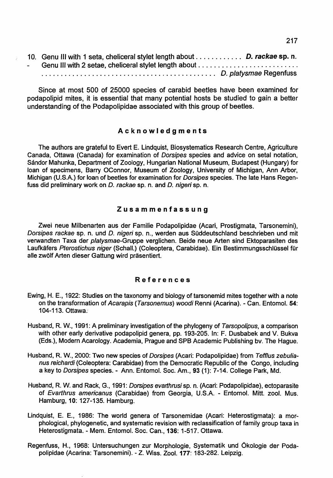|               | 10. Genu III with 1 seta, cheliceral stylet length about D. rackae sp. n. |  |
|---------------|---------------------------------------------------------------------------|--|
| $\sim$ $\sim$ |                                                                           |  |
|               | D. platysmae Regenfuss                                                    |  |

Since at most 500 of 25000 species of carabid beetles have been examined for podapolipid mites, it is essential that many potential hosts be studied to gain a better understanding of the Podapolipidae associated with this group of beetles.

### Acknowledgments

The authors are grateful to Evert E. Lindquist, Biosystematics Research Centre, Agriculture Canada, Ottawa (Canada) for examination of Dorsipes species and advice on setal notation, Sandor Mahunka, Department of Zoology, Hungarian National Museum, Budapest (Hungary) for loan of specimens, Barry OConnor, Museum of Zoology, University of Michigan, Ann Arbor, Michigan (U.S.A.) for loan of beetles for examination for Dorsipes species. The late Hans Regenfuss did preliminary work on D. rackae sp. n. and D. nigeri sp. n.

#### Zusammenfassung

Zwei neue Milbenarten aus der Familie Podapolipidae (Acari, Prostigmata, Tarsonemini). Dorsipes rackae sp. n. und D. nigeri sp. n., werden aus Süddeutschland beschrieben und mit verwandten Taxa der platysmae-Gruppe verglichen. Beide neue Arten sind Ektoparasiten des Laufkäfers Pterostichus niger (Schall.) (Coleoptera, Carabidae). Ein Bestimmungsschlüssel für alle zwolf Arten dieser Gattung wird prasentiert.

### References

- Ewing, H. E., 1922: Studies on the taxonomy and biology of tarsonemid mites together with a note on the transformation of Acarapis (Tarsonemus) woodi Renni (Acarina). - Can. Entomol. 54: 104-113. Ottawa:
- Husband, R. W., 1991: A preliminary investigation of the phylogeny of Tarsopolipus, a comparison with other early derivative podapolipid genera, pp. 193-205. In: F. Dusbabek and V. Bukva (Eds.), Modern Acarology. Academia, Prague and SPB Academic Publishing bv. The Hague.
- Husband, R. W., 2000: Two new species of Dorsipes (Acari: Podapolipidae) from Tefflus zebulianus reichardi (Coleoptera: Carabidae) from the Democratic Republic of the Congo, including a key to Dorsipes species. - Ann. Entomol. Soc. Am., 93 (1): 7-14. College Park, Md.
- Husband, R. W. and Rack, G., 1991: Dorsipes evarthrusi sp. n. (Acari: Podapolipidae), ectoparasite of Evarthrus americanus (Carabidae) from Georgia, U.S.A. - Entomol. Mitt. zool. Mus. Hamburg, 10: 127-135. Hamburg.
- Lindquist, E. E., 1986: The world genera of Tarsonemidae (Acari: Heterostigmata): a morphological, phylogenetic, and systematic revision with reclassification of family group taxa in Heterostigmata. - Mem. Entomol. Soc. Can., 136: 1-517. Ottawa.
- Regenfuss, H., 1968: Untersuchungen zur Morphologie, Systematik und Okologie der Podapolipidae (Acarina: Tarsonemini). - Z. Wiss. Zool. 177: 183-282. Leipzig.